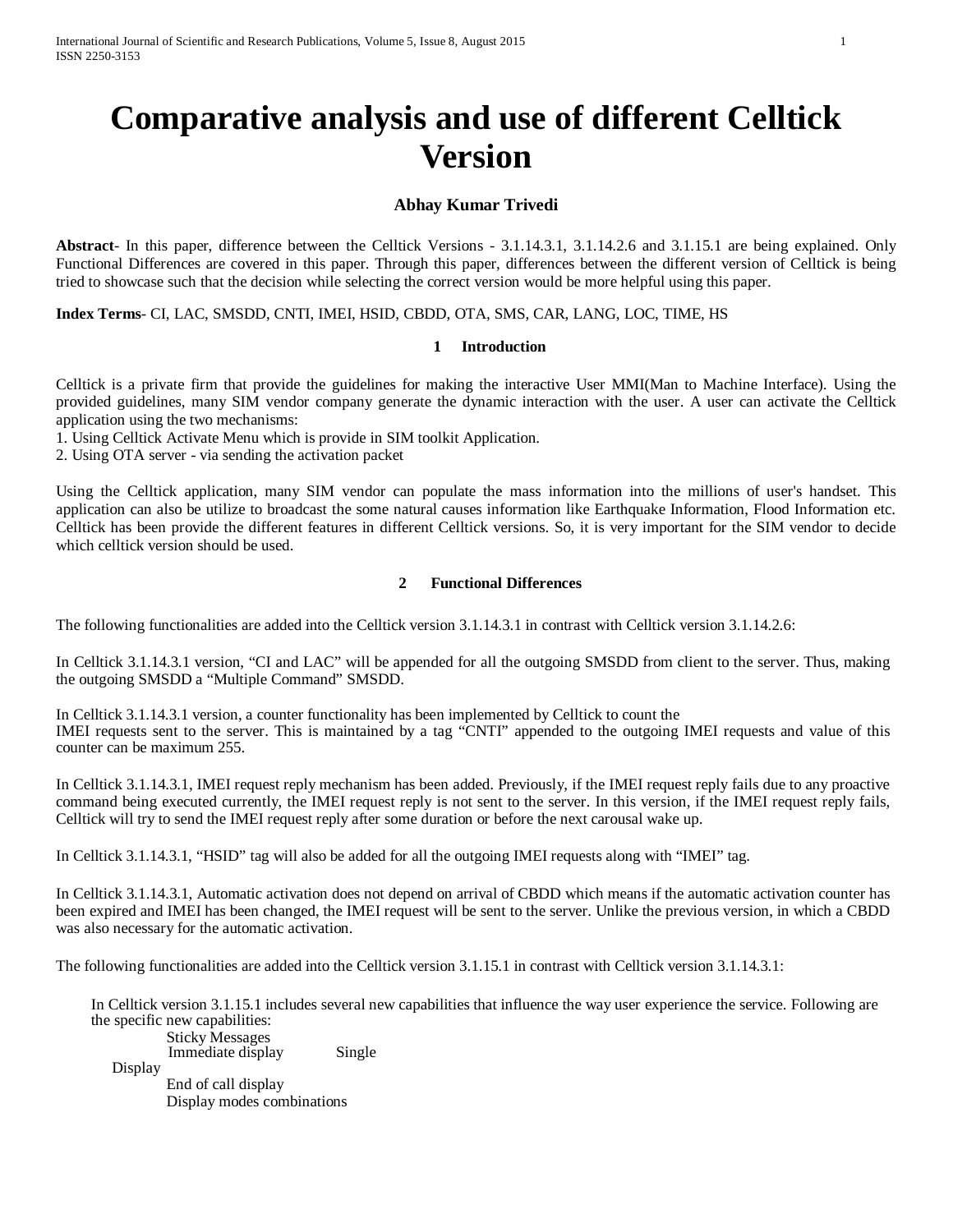# **Comparative analysis and use of different Celltick Version**

## **Abhay Kumar Trivedi**

**Abstract**- In this paper, difference between the Celltick Versions - 3.1.14.3.1, 3.1.14.2.6 and 3.1.15.1 are being explained. Only Functional Differences are covered in this paper. Through this paper, differences between the different version of Celltick is being tried to showcase such that the decision while selecting the correct version would be more helpful using this paper.

**Index Terms**- CI, LAC, SMSDD, CNTI, IMEI, HSID, CBDD, OTA, SMS, CAR, LANG, LOC, TIME, HS

#### **1 Introduction**

Celltick is a private firm that provide the guidelines for making the interactive User MMI(Man to Machine Interface). Using the provided guidelines, many SIM vendor company generate the dynamic interaction with the user. A user can activate the Celltick application using the two mechanisms:

1. Using Celltick Activate Menu which is provide in SIM toolkit Application.

2. Using OTA server - via sending the activation packet

Using the Celltick application, many SIM vendor can populate the mass information into the millions of user's handset. This application can also be utilize to broadcast the some natural causes information like Earthquake Information, Flood Information etc. Celltick has been provide the different features in different Celltick versions. So, it is very important for the SIM vendor to decide which celltick version should be used.

#### **2 Functional Differences**

The following functionalities are added into the Celltick version 3.1.14.3.1 in contrast with Celltick version 3.1.14.2.6:

In Celltick 3.1.14.3.1 version, "CI and LAC" will be appended for all the outgoing SMSDD from client to the server. Thus, making the outgoing SMSDD a "Multiple Command" SMSDD.

In Celltick 3.1.14.3.1 version, a counter functionality has been implemented by Celltick to count the IMEI requests sent to the server. This is maintained by a tag "CNTI" appended to the outgoing IMEI requests and value of this counter can be maximum 255.

In Celltick 3.1.14.3.1, IMEI request reply mechanism has been added. Previously, if the IMEI request reply fails due to any proactive command being executed currently, the IMEI request reply is not sent to the server. In this version, if the IMEI request reply fails, Celltick will try to send the IMEI request reply after some duration or before the next carousal wake up.

In Celltick 3.1.14.3.1, "HSID" tag will also be added for all the outgoing IMEI requests along with "IMEI" tag.

In Celltick 3.1.14.3.1, Automatic activation does not depend on arrival of CBDD which means if the automatic activation counter has been expired and IMEI has been changed, the IMEI request will be sent to the server. Unlike the previous version, in which a CBDD was also necessary for the automatic activation.

The following functionalities are added into the Celltick version 3.1.15.1 in contrast with Celltick version 3.1.14.3.1:

In Celltick version 3.1.15.1 includes several new capabilities that influence the way user experience the service. Following are the specific new capabilities: Sticky Messages

Immediate display Single

Display

End of call display Display modes combinations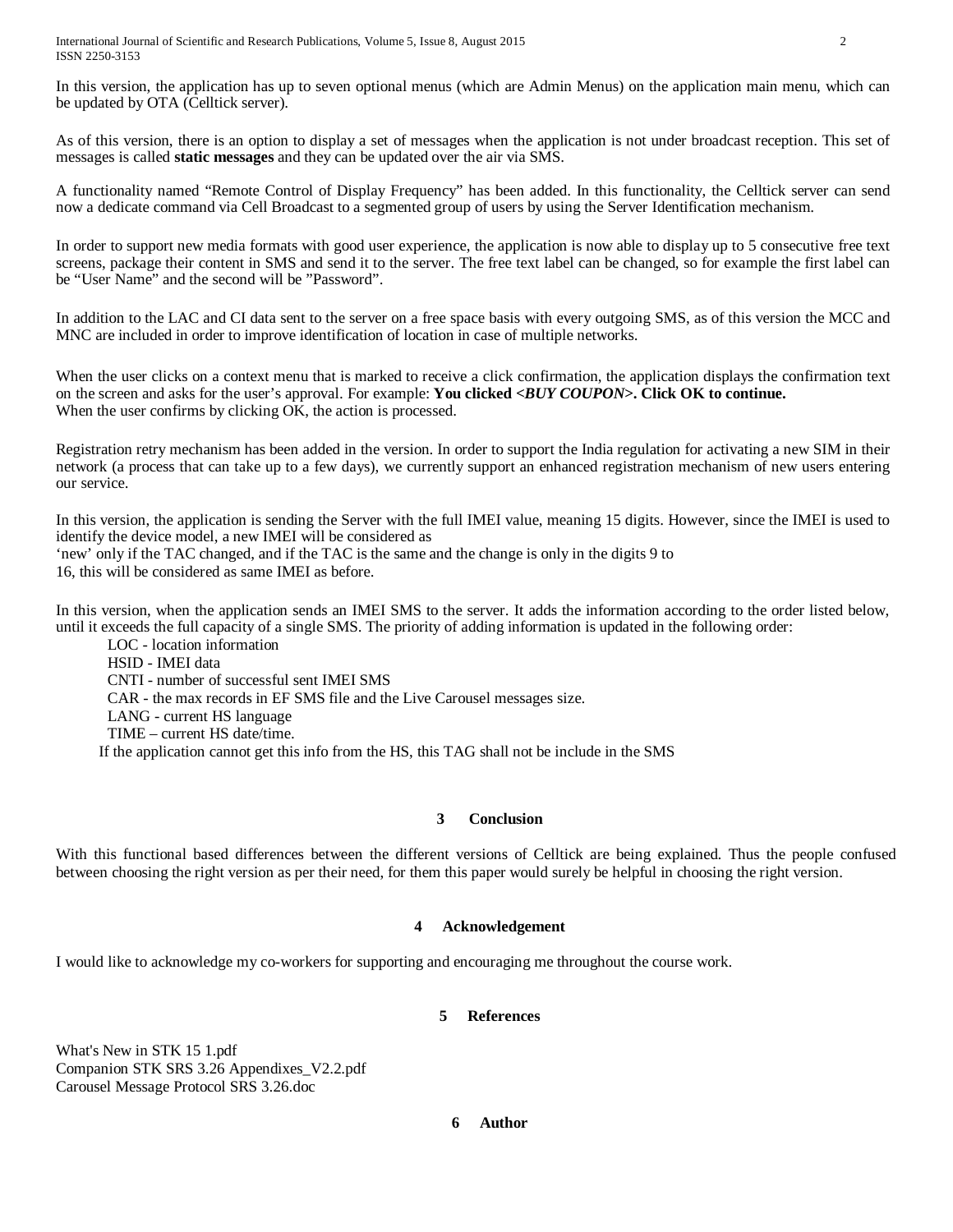International Journal of Scientific and Research Publications, Volume 5, Issue 8, August 2015 2 ISSN 2250-3153

In this version, the application has up to seven optional menus (which are Admin Menus) on the application main menu, which can be updated by OTA (Celltick server).

As of this version, there is an option to display a set of messages when the application is not under broadcast reception. This set of messages is called **static messages** and they can be updated over the air via SMS.

A functionality named "Remote Control of Display Frequency" has been added. In this functionality, the Celltick server can send now a dedicate command via Cell Broadcast to a segmented group of users by using the Server Identification mechanism.

In order to support new media formats with good user experience, the application is now able to display up to 5 consecutive free text screens, package their content in SMS and send it to the server. The free text label can be changed, so for example the first label can be "User Name" and the second will be "Password".

In addition to the LAC and CI data sent to the server on a free space basis with every outgoing SMS, as of this version the MCC and MNC are included in order to improve identification of location in case of multiple networks.

When the user clicks on a context menu that is marked to receive a click confirmation, the application displays the confirmation text on the screen and asks for the user's approval. For example: **You clicked <***BUY COUPON***>. Click OK to continue.** When the user confirms by clicking OK, the action is processed.

Registration retry mechanism has been added in the version. In order to support the India regulation for activating a new SIM in their network (a process that can take up to a few days), we currently support an enhanced registration mechanism of new users entering our service.

In this version, the application is sending the Server with the full IMEI value, meaning 15 digits. However, since the IMEI is used to identify the device model, a new IMEI will be considered as

'new' only if the TAC changed, and if the TAC is the same and the change is only in the digits 9 to

16, this will be considered as same IMEI as before.

In this version, when the application sends an IMEI SMS to the server. It adds the information according to the order listed below, until it exceeds the full capacity of a single SMS. The priority of adding information is updated in the following order:

LOC - location information HSID - IMEI data CNTI - number of successful sent IMEI SMS CAR - the max records in EF SMS file and the Live Carousel messages size. LANG - current HS language TIME – current HS date/time. If the application cannot get this info from the HS, this TAG shall not be include in the SMS

#### **3 Conclusion**

With this functional based differences between the different versions of Celltick are being explained. Thus the people confused between choosing the right version as per their need, for them this paper would surely be helpful in choosing the right version.

#### **4 Acknowledgement**

I would like to acknowledge my co-workers for supporting and encouraging me throughout the course work.

### **5 References**

What's New in STK 15 1.pdf Companion STK SRS 3.26 Appendixes\_V2.2.pdf Carousel Message Protocol SRS 3.26.doc

**6 Author**